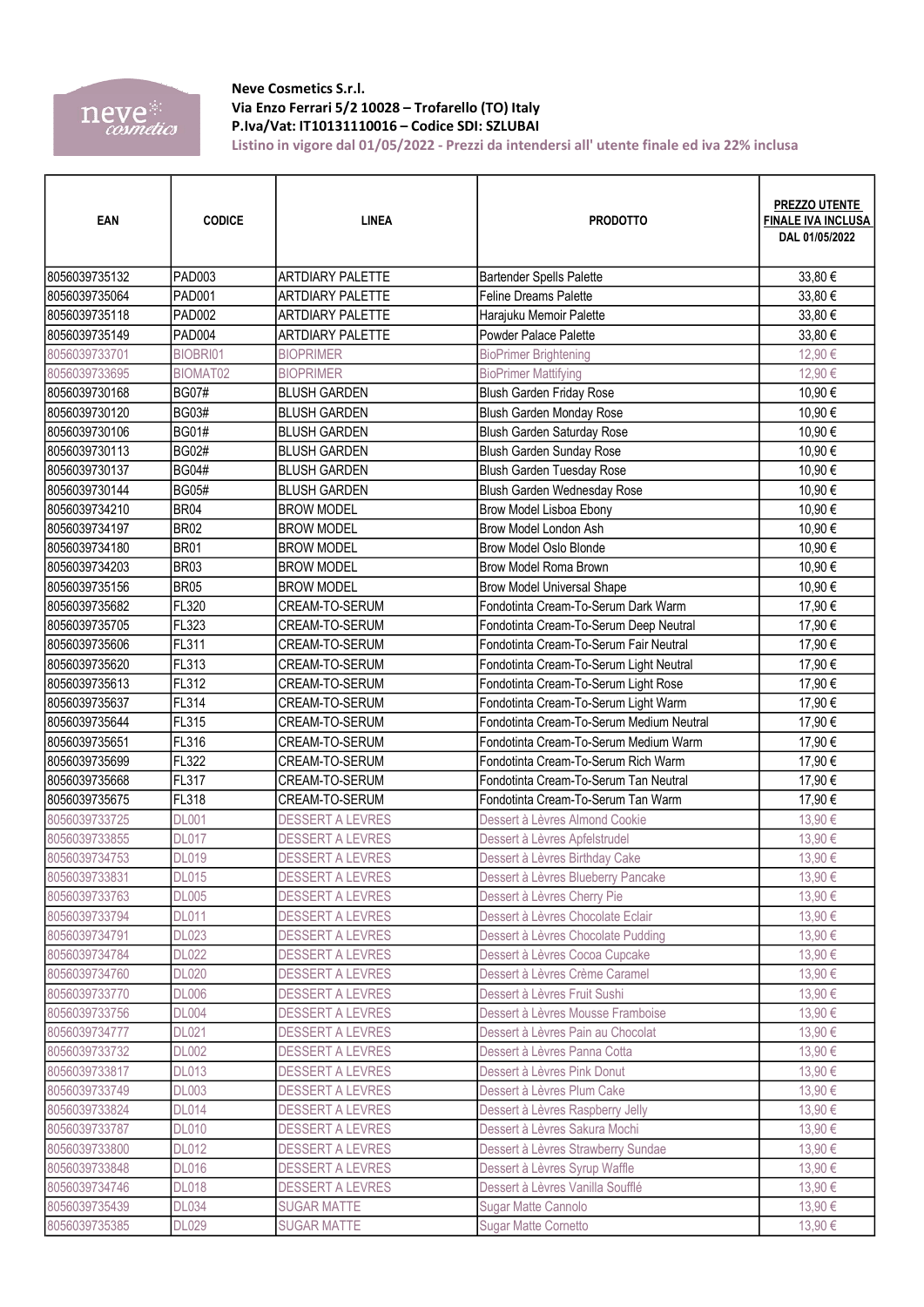

## Neve Cosmetics S.r.l.

|                                | neve <sup>®</sup><br>cosmetics | Via Enzo Ferrari 5/2 10028 - Trofarello (TO) Italy<br>P.Iva/Vat: IT10131110016 - Codice SDI: SZLUBAI | Listino in vigore dal 01/05/2022 - Prezzi da intendersi all'utente finale ed iva 22% inclusa |                                                              |
|--------------------------------|--------------------------------|------------------------------------------------------------------------------------------------------|----------------------------------------------------------------------------------------------|--------------------------------------------------------------|
| EAN                            | <b>CODICE</b>                  | <b>LINEA</b>                                                                                         | <b>PRODOTTO</b>                                                                              | PREZZO UTENTE<br><b>FINALE IVA INCLUSA</b><br>DAL 01/05/2022 |
| 8056039735132                  | PAD003                         | <b>ARTDIARY PALETTE</b>                                                                              | <b>Bartender Spells Palette</b>                                                              | 33,80 €                                                      |
| 8056039735064                  | PAD001                         | <b>ARTDIARY PALETTE</b>                                                                              | <b>Feline Dreams Palette</b>                                                                 | 33,80 €                                                      |
| 8056039735118                  | PAD002                         | <b>ARTDIARY PALETTE</b>                                                                              | Harajuku Memoir Palette                                                                      | 33,80€                                                       |
| 8056039735149                  | PAD004                         | <b>ARTDIARY PALETTE</b>                                                                              | Powder Palace Palette                                                                        | 33,80€                                                       |
| 8056039733701                  | BIOBRI01                       | <b>BIOPRIMER</b>                                                                                     | <b>BioPrimer Brightening</b>                                                                 | 12,90 €                                                      |
| 8056039733695<br>8056039730168 | BIOMAT02<br><b>BG07#</b>       | <b>BIOPRIMER</b><br><b>BLUSH GARDEN</b>                                                              | <b>BioPrimer Mattifying</b><br>Blush Garden Friday Rose                                      | 12,90€<br>10.90€                                             |
| 8056039730120                  | <b>BG03#</b>                   | <b>BLUSH GARDEN</b>                                                                                  | Blush Garden Monday Rose                                                                     | 10,90€                                                       |
| 8056039730106                  | <b>BG01#</b>                   | <b>BLUSH GARDEN</b>                                                                                  | Blush Garden Saturday Rose                                                                   | 10,90 €                                                      |
| 8056039730113                  | <b>BG02#</b>                   | <b>BLUSH GARDEN</b>                                                                                  | Blush Garden Sunday Rose                                                                     | 10,90€                                                       |
| 8056039730137                  | <b>BG04#</b>                   | <b>BLUSH GARDEN</b>                                                                                  | Blush Garden Tuesday Rose                                                                    | 10,90 €                                                      |
| 8056039730144                  | <b>BG05#</b>                   | <b>BLUSH GARDEN</b>                                                                                  | Blush Garden Wednesday Rose                                                                  | 10,90€                                                       |
| 8056039734210                  | <b>BR04</b>                    | <b>BROW MODEL</b>                                                                                    | Brow Model Lisboa Ebony                                                                      | 10,90€                                                       |
| 8056039734197<br>8056039734180 | <b>BR02</b><br><b>BR01</b>     | <b>BROW MODEL</b><br><b>BROW MODEL</b>                                                               | Brow Model London Ash<br><b>Brow Model Oslo Blonde</b>                                       | 10,90 €<br>10,90 €                                           |
| 8056039734203                  | <b>BR03</b>                    | <b>BROW MODEL</b>                                                                                    | Brow Model Roma Brown                                                                        | 10,90€                                                       |
| 8056039735156                  | <b>BR05</b>                    | <b>BROW MODEL</b>                                                                                    | <b>Brow Model Universal Shape</b>                                                            | 10,90 €                                                      |
| 8056039735682                  | FL320                          | CREAM-TO-SERUM                                                                                       | Fondotinta Cream-To-Serum Dark Warm                                                          | 17,90€                                                       |
| 8056039735705                  | FL323                          | CREAM-TO-SERUM                                                                                       | Fondotinta Cream-To-Serum Deep Neutral                                                       | 17,90€                                                       |
| 8056039735606                  | FL311                          | CREAM-TO-SERUM                                                                                       | Fondotinta Cream-To-Serum Fair Neutral                                                       | 17,90 €                                                      |
| 8056039735620                  | FL313                          | CREAM-TO-SERUM                                                                                       | Fondotinta Cream-To-Serum Light Neutral                                                      | 17,90€                                                       |
| 8056039735613<br>8056039735637 | <b>FL312</b><br><b>FL314</b>   | CREAM-TO-SERUM<br>CREAM-TO-SERUM                                                                     | Fondotinta Cream-To-Serum Light Rose<br>Fondotinta Cream-To-Serum Light Warm                 | 17,90€<br>17,90€                                             |
| 8056039735644                  | FL315                          | CREAM-TO-SERUM                                                                                       | Fondotinta Cream-To-Serum Medium Neutral                                                     | 17,90 €                                                      |
| 8056039735651                  | <b>FL316</b>                   | CREAM-TO-SERUM                                                                                       | Fondotinta Cream-To-Serum Medium Warm                                                        | 17,90 €                                                      |
| 8056039735699                  | FL322                          | CREAM-TO-SERUM                                                                                       | Fondotinta Cream-To-Serum Rich Warm                                                          | 17,90€                                                       |
| 8056039735668                  | <b>FL317</b>                   | CREAM-TO-SERUM                                                                                       | Fondotinta Cream-To-Serum Tan Neutral                                                        | 17,90 €                                                      |
| 8056039735675                  | FL318                          | CREAM-TO-SERUM                                                                                       | Fondotinta Cream-To-Serum Tan Warm                                                           | 17,90 €                                                      |
| 8056039733725<br>8056039733855 | <b>DL001</b><br><b>DL017</b>   | <b>DESSERT A LEVRES</b><br><b>DESSERT A LEVRES</b>                                                   | Dessert à Lèvres Almond Cookie<br>Dessert à Lèvres Apfelstrudel                              | 13,90€<br>13,90 €                                            |
| 8056039734753                  | <b>DL019</b>                   | <b>DESSERT A LEVRES</b>                                                                              | Dessert à Lèvres Birthday Cake                                                               | 13,90€                                                       |
| 8056039733831                  | <b>DL015</b>                   | <b>DESSERT A LEVRES</b>                                                                              | Dessert à Lèvres Blueberry Pancake                                                           | 13,90 €                                                      |
| 8056039733763                  | <b>DL005</b>                   | <b>DESSERT A LEVRES</b>                                                                              | Dessert à Lèvres Cherry Pie                                                                  | 13,90 €                                                      |
| 8056039733794                  | <b>DL011</b>                   | <b>DESSERT A LEVRES</b>                                                                              | Dessert à Lèvres Chocolate Eclair                                                            | 13,90€                                                       |
| 8056039734791                  | <b>DL023</b>                   | <b>DESSERT A LEVRES</b>                                                                              | Dessert à Lèvres Chocolate Pudding                                                           | 13,90€                                                       |
| 8056039734784<br>8056039734760 | <b>DL022</b><br><b>DL020</b>   | <b>DESSERT A LEVRES</b><br><b>DESSERT A LEVRES</b>                                                   | Dessert à Lèvres Cocoa Cupcake<br>Dessert à Lèvres Crème Caramel                             | 13,90€<br>13,90 €                                            |
| 8056039733770                  | <b>DL006</b>                   | <b>DESSERT A LEVRES</b>                                                                              | Dessert à Lèvres Fruit Sushi                                                                 | 13,90 €                                                      |
| 8056039733756                  | <b>DL004</b>                   | <b>DESSERT A LEVRES</b>                                                                              | Dessert à Lèvres Mousse Framboise                                                            | 13,90 €                                                      |
| 8056039734777                  | <b>DL021</b>                   | <b>DESSERT A LEVRES</b>                                                                              | Dessert à Lèvres Pain au Chocolat                                                            | 13,90€                                                       |
| 8056039733732                  | <b>DL002</b>                   | <b>DESSERT A LEVRES</b>                                                                              | Dessert à Lèvres Panna Cotta                                                                 | 13,90€                                                       |
| 8056039733817                  | <b>DL013</b>                   | <b>DESSERT A LEVRES</b>                                                                              | Dessert à Lèvres Pink Donut                                                                  | 13,90 €                                                      |
| 8056039733749                  | <b>DL003</b>                   | <b>DESSERT A LEVRES</b>                                                                              | Dessert à Lèvres Plum Cake                                                                   | 13,90 €                                                      |
| 8056039733824                  | <b>DL014</b>                   | <b>DESSERT A LEVRES</b>                                                                              | Dessert à Lèvres Raspberry Jelly                                                             | 13,90€                                                       |
| 8056039733787                  | <b>DL010</b>                   | <b>DESSERT A LEVRES</b>                                                                              | Dessert à Lèvres Sakura Mochi                                                                | 13,90 €                                                      |
| 8056039733800                  | <b>DL012</b>                   | <b>DESSERT A LEVRES</b>                                                                              | Dessert à Lèvres Strawberry Sundae                                                           | 13,90 €                                                      |
| 8056039733848<br>8056039734746 | <b>DL016</b><br><b>DL018</b>   | <b>DESSERT A LEVRES</b><br><b>DESSERT A LEVRES</b>                                                   | Dessert à Lèvres Syrup Waffle<br>Dessert à Lèvres Vanilla Soufflé                            | 13,90€<br>13,90 €                                            |
| 8056039735439                  | <b>DL034</b>                   | <b>SUGAR MATTE</b>                                                                                   | Sugar Matte Cannolo                                                                          | 13,90 €                                                      |
|                                |                                |                                                                                                      |                                                                                              |                                                              |
| 8056039735385                  | <b>DL029</b>                   | <b>SUGAR MATTE</b>                                                                                   | <b>Sugar Matte Cornetto</b>                                                                  | 13,90 €                                                      |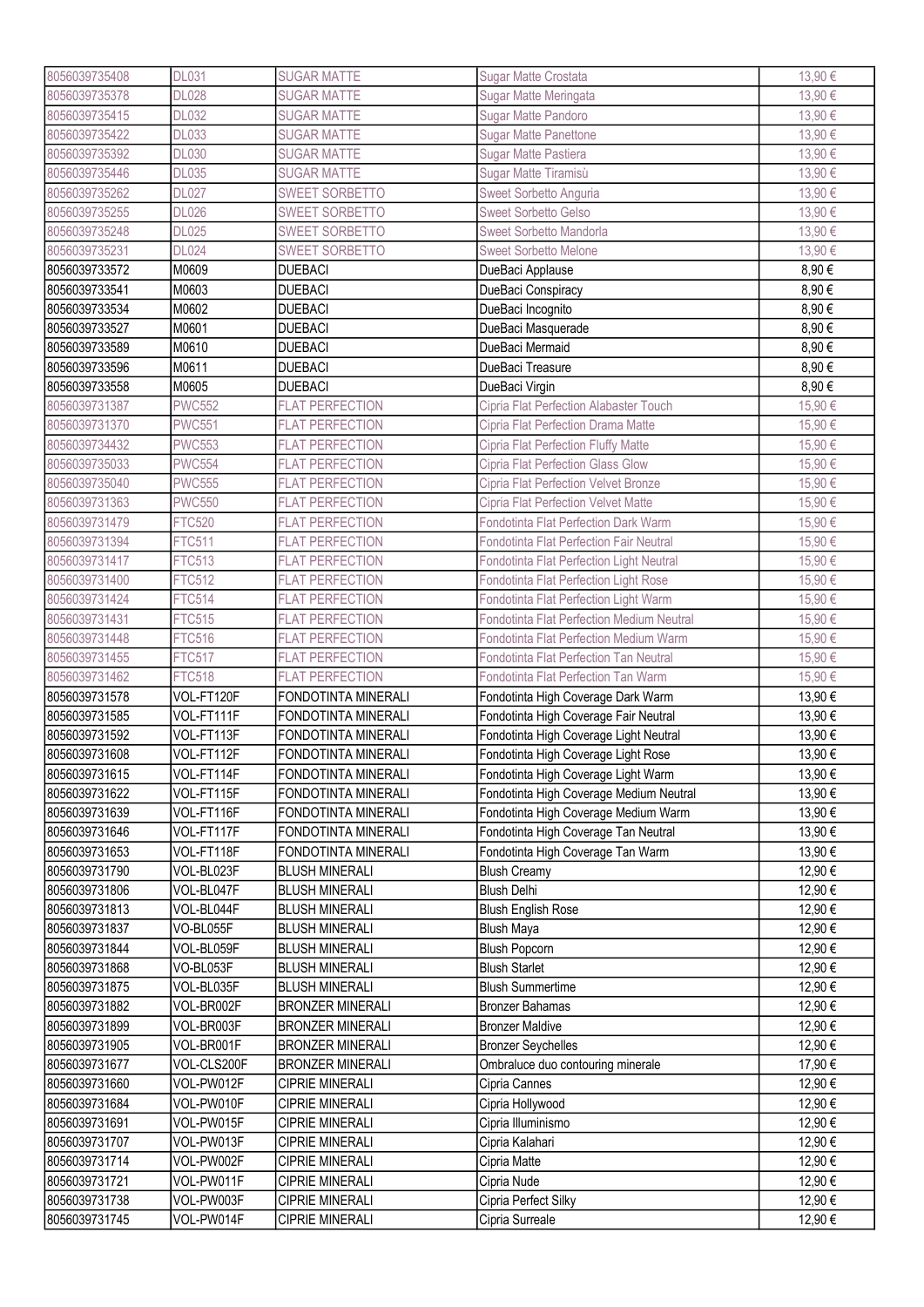| 8056039735408 | <b>DL031</b>  | <b>SUGAR MATTE</b>         | Sugar Matte Crostata                           | 13,90 € |
|---------------|---------------|----------------------------|------------------------------------------------|---------|
| 8056039735378 | <b>DL028</b>  | <b>SUGAR MATTE</b>         | Sugar Matte Meringata                          | 13,90 € |
| 8056039735415 | <b>DL032</b>  | <b>SUGAR MATTE</b>         | Sugar Matte Pandoro                            | 13,90 € |
| 8056039735422 | <b>DL033</b>  | <b>SUGAR MATTE</b>         | <b>Sugar Matte Panettone</b>                   | 13,90€  |
| 8056039735392 | <b>DL030</b>  | <b>SUGAR MATTE</b>         | Sugar Matte Pastiera                           | 13,90€  |
| 8056039735446 | <b>DL035</b>  | <b>SUGAR MATTE</b>         | Sugar Matte Tiramisù                           | 13,90€  |
| 8056039735262 | <b>DL027</b>  | <b>SWEET SORBETTO</b>      | Sweet Sorbetto Anguria                         | 13,90€  |
| 8056039735255 | <b>DL026</b>  | <b>SWEET SORBETTO</b>      | <b>Sweet Sorbetto Gelso</b>                    | 13,90€  |
| 8056039735248 | <b>DL025</b>  | SWEET SORBETTO             | Sweet Sorbetto Mandorla                        | 13,90€  |
| 8056039735231 | <b>DL024</b>  | SWEET SORBETTO             | <b>Sweet Sorbetto Melone</b>                   | 13,90€  |
| 8056039733572 | M0609         | <b>DUEBACI</b>             | DueBaci Applause                               | 8,90€   |
| 8056039733541 | M0603         | <b>DUEBACI</b>             | DueBaci Conspiracy                             | 8,90€   |
| 8056039733534 | M0602         | <b>DUEBACI</b>             | DueBaci Incognito                              | 8,90€   |
| 8056039733527 | M0601         | <b>DUEBACI</b>             | DueBaci Masquerade                             | 8,90€   |
| 8056039733589 | M0610         | <b>DUEBACI</b>             | DueBaci Mermaid                                | 8,90€   |
| 8056039733596 | M0611         | <b>DUEBACI</b>             | DueBaci Treasure                               | 8,90€   |
| 8056039733558 | M0605         | <b>DUEBACI</b>             | DueBaci Virgin                                 | 8,90€   |
| 8056039731387 | <b>PWC552</b> | <b>FLAT PERFECTION</b>     | Cipria Flat Perfection Alabaster Touch         | 15,90€  |
| 8056039731370 | <b>PWC551</b> | <b>FLAT PERFECTION</b>     | Cipria Flat Perfection Drama Matte             | 15,90 € |
| 8056039734432 | <b>PWC553</b> | <b>FLAT PERFECTION</b>     | Cipria Flat Perfection Fluffy Matte            |         |
|               |               |                            |                                                | 15,90€  |
| 8056039735033 | <b>PWC554</b> | <b>FLAT PERFECTION</b>     | Cipria Flat Perfection Glass Glow              | 15,90€  |
| 8056039735040 | <b>PWC555</b> | <b>FLAT PERFECTION</b>     | Cipria Flat Perfection Velvet Bronze           | 15,90 € |
| 8056039731363 | <b>PWC550</b> | <b>FLAT PERFECTION</b>     | <b>Cipria Flat Perfection Velvet Matte</b>     | 15,90€  |
| 8056039731479 | <b>FTC520</b> | <b>FLAT PERFECTION</b>     | Fondotinta Flat Perfection Dark Warm           | 15,90€  |
| 8056039731394 | <b>FTC511</b> | <b>FLAT PERFECTION</b>     | <b>Fondotinta Flat Perfection Fair Neutral</b> | 15,90€  |
| 8056039731417 | <b>FTC513</b> | <b>FLAT PERFECTION</b>     | Fondotinta Flat Perfection Light Neutral       | 15,90€  |
| 8056039731400 | <b>FTC512</b> | <b>FLAT PERFECTION</b>     | Fondotinta Flat Perfection Light Rose          | 15,90€  |
| 8056039731424 | <b>FTC514</b> | <b>FLAT PERFECTION</b>     | Fondotinta Flat Perfection Light Warm          | 15,90€  |
| 8056039731431 | <b>FTC515</b> | <b>FLAT PERFECTION</b>     | Fondotinta Flat Perfection Medium Neutral      | 15,90€  |
| 8056039731448 | <b>FTC516</b> | <b>FLAT PERFECTION</b>     | Fondotinta Flat Perfection Medium Warm         | 15,90€  |
| 8056039731455 | <b>FTC517</b> | <b>FLAT PERFECTION</b>     | Fondotinta Flat Perfection Tan Neutral         | 15,90 € |
| 8056039731462 | <b>FTC518</b> | <b>FLAT PERFECTION</b>     | Fondotinta Flat Perfection Tan Warm            | 15,90 € |
| 8056039731578 | VOL-FT120F    | FONDOTINTA MINERALI        | Fondotinta High Coverage Dark Warm             | 13,90€  |
| 8056039731585 | VOL-FT111F    | FONDOTINTA MINERALI        | Fondotinta High Coverage Fair Neutral          | 13,90 € |
| 8056039731592 | VOL-FT113F    | FONDOTINTA MINERALI        | Fondotinta High Coverage Light Neutral         | 13,90 € |
| 8056039731608 | VOL-FT112F    | FONDOTINTA MINERALI        | Fondotinta High Coverage Light Rose            | 13,90€  |
| 8056039731615 | VOL-FT114F    | <b>FONDOTINTA MINERALI</b> | Fondotinta High Coverage Light Warm            | 13,90€  |
| 8056039731622 | VOL-FT115F    | FONDOTINTA MINERALI        | Fondotinta High Coverage Medium Neutral        | 13,90€  |
| 8056039731639 | VOL-FT116F    | FONDOTINTA MINERALI        | Fondotinta High Coverage Medium Warm           | 13,90 € |
| 8056039731646 | VOL-FT117F    | FONDOTINTA MINERALI        | Fondotinta High Coverage Tan Neutral           | 13,90 € |
| 8056039731653 | VOL-FT118F    | FONDOTINTA MINERALI        | Fondotinta High Coverage Tan Warm              | 13,90 € |
| 8056039731790 | VOL-BL023F    | <b>BLUSH MINERALI</b>      | <b>Blush Creamy</b>                            | 12,90 € |
| 8056039731806 | VOL-BL047F    | <b>BLUSH MINERALI</b>      | <b>Blush Delhi</b>                             | 12,90 € |
| 8056039731813 | VOL-BL044F    | <b>BLUSH MINERALI</b>      | <b>Blush English Rose</b>                      | 12,90€  |
| 8056039731837 | VO-BL055F     | <b>BLUSH MINERALI</b>      | <b>Blush Maya</b>                              | 12,90€  |
| 8056039731844 | VOL-BL059F    | <b>BLUSH MINERALI</b>      | Blush Popcorn                                  | 12,90€  |
| 8056039731868 | VO-BL053F     | <b>BLUSH MINERALI</b>      | <b>Blush Starlet</b>                           | 12,90 € |
| 8056039731875 | VOL-BL035F    | <b>BLUSH MINERALI</b>      | <b>Blush Summertime</b>                        | 12,90€  |
| 8056039731882 | VOL-BR002F    | <b>BRONZER MINERALI</b>    | <b>Bronzer Bahamas</b>                         | 12,90€  |
| 8056039731899 | VOL-BR003F    | <b>BRONZER MINERALI</b>    | <b>Bronzer Maldive</b>                         | 12,90€  |
| 8056039731905 | VOL-BR001F    | <b>BRONZER MINERALI</b>    | <b>Bronzer Seychelles</b>                      | 12,90€  |
| 8056039731677 | VOL-CLS200F   | <b>BRONZER MINERALI</b>    | Ombraluce duo contouring minerale              | 17,90€  |
| 8056039731660 | VOL-PW012F    | <b>CIPRIE MINERALI</b>     | Cipria Cannes                                  | 12,90 € |
| 8056039731684 | VOL-PW010F    | <b>CIPRIE MINERALI</b>     | Cipria Hollywood                               | 12,90 € |
| 8056039731691 | VOL-PW015F    | <b>CIPRIE MINERALI</b>     | Cipria Illuminismo                             | 12,90 € |
| 8056039731707 | VOL-PW013F    | <b>CIPRIE MINERALI</b>     | Cipria Kalahari                                | 12,90€  |
| 8056039731714 | VOL-PW002F    | <b>CIPRIE MINERALI</b>     | Cipria Matte                                   | 12,90€  |
| 8056039731721 | VOL-PW011F    | <b>CIPRIE MINERALI</b>     | Cipria Nude                                    | 12,90€  |
| 8056039731738 | VOL-PW003F    | <b>CIPRIE MINERALI</b>     | Cipria Perfect Silky                           | 12,90€  |
| 8056039731745 | VOL-PW014F    | <b>CIPRIE MINERALI</b>     | Cipria Surreale                                | 12,90 € |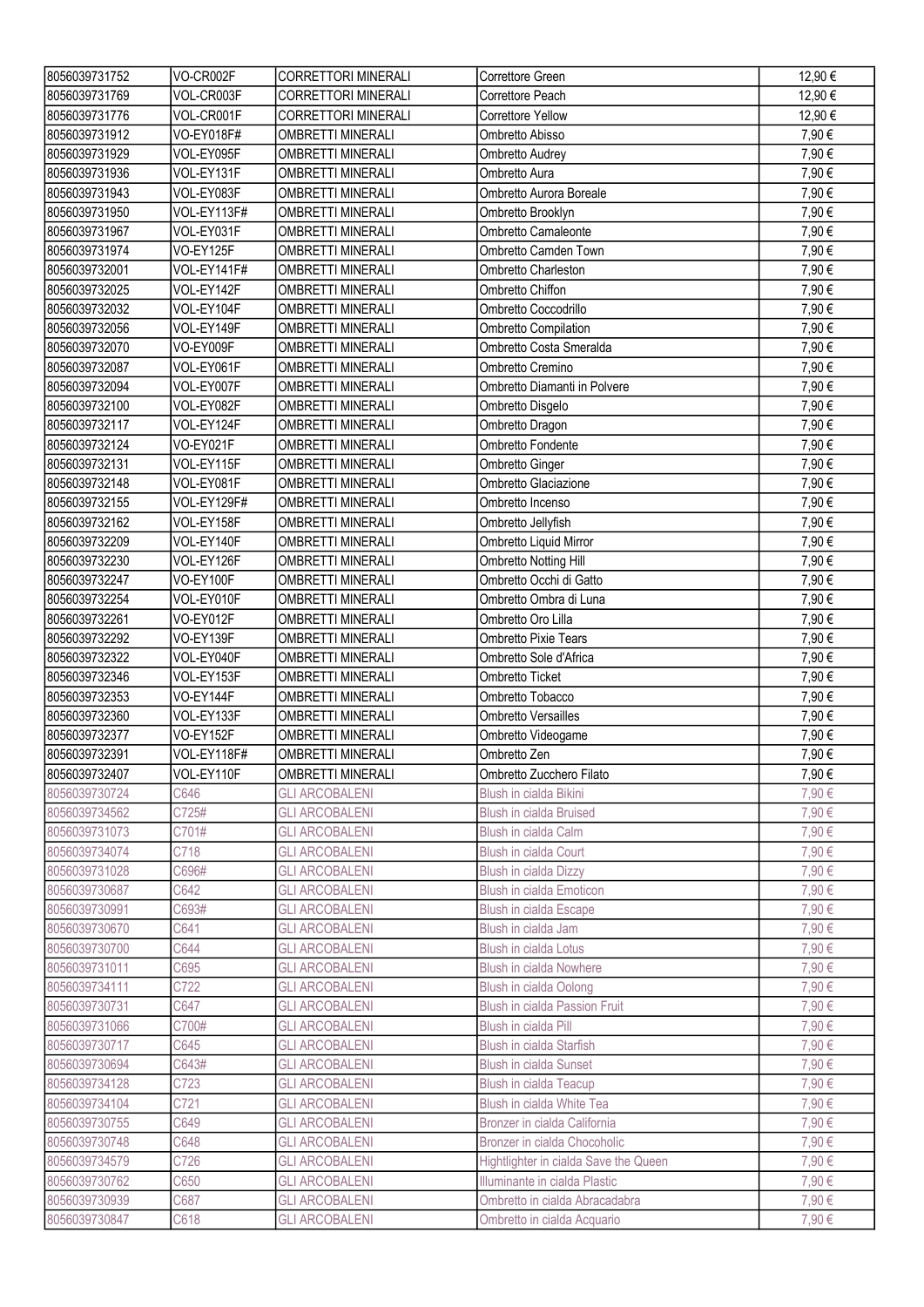| 8056039731752 | VO-CR002F        | <b>CORRETTORI MINERALI</b> | Correttore Green                        | 12,90€  |
|---------------|------------------|----------------------------|-----------------------------------------|---------|
| 8056039731769 | VOL-CR003F       | <b>CORRETTORI MINERALI</b> | Correttore Peach                        | 12,90€  |
| 8056039731776 | VOL-CR001F       | <b>CORRETTORI MINERALI</b> | <b>Correttore Yellow</b>                | 12,90 € |
| 8056039731912 | VO-EY018F#       | <b>OMBRETTI MINERALI</b>   | Ombretto Abisso                         | 7,90€   |
| 8056039731929 | VOL-EY095F       | <b>OMBRETTI MINERALI</b>   | Ombretto Audrey                         | 7,90€   |
| 8056039731936 | VOL-EY131F       | <b>OMBRETTI MINERALI</b>   | Ombretto Aura                           | 7,90€   |
| 8056039731943 | VOL-EY083F       | <b>OMBRETTI MINERALI</b>   | Ombretto Aurora Boreale                 | 7,90€   |
| 8056039731950 | VOL-EY113F#      | <b>OMBRETTI MINERALI</b>   | Ombretto Brooklyn                       | 7,90€   |
| 8056039731967 | VOL-EY031F       | <b>OMBRETTI MINERALI</b>   | Ombretto Camaleonte                     | 7,90€   |
| 8056039731974 | <b>VO-EY125F</b> | <b>OMBRETTI MINERALI</b>   | Ombretto Camden Town                    | 7,90€   |
| 8056039732001 | VOL-EY141F#      | <b>OMBRETTI MINERALI</b>   | Ombretto Charleston                     | 7,90€   |
| 8056039732025 | VOL-EY142F       | <b>OMBRETTI MINERALI</b>   | Ombretto Chiffon                        | 7,90€   |
| 8056039732032 | VOL-EY104F       | <b>OMBRETTI MINERALI</b>   | Ombretto Coccodrillo                    | 7,90€   |
| 8056039732056 | VOL-EY149F       | <b>OMBRETTI MINERALI</b>   | Ombretto Compilation                    | 7,90€   |
| 8056039732070 | VO-EY009F        | <b>OMBRETTI MINERALI</b>   | Ombretto Costa Smeralda                 | 7,90€   |
| 8056039732087 | VOL-EY061F       | <b>OMBRETTI MINERALI</b>   | Ombretto Cremino                        | 7,90€   |
| 8056039732094 | VOL-EY007F       | <b>OMBRETTI MINERALI</b>   | Ombretto Diamanti in Polvere            | 7,90€   |
| 8056039732100 | VOL-EY082F       | <b>OMBRETTI MINERALI</b>   | Ombretto Disgelo                        | 7,90€   |
| 8056039732117 | VOL-EY124F       | <b>OMBRETTI MINERALI</b>   | Ombretto Dragon                         | 7,90€   |
| 8056039732124 | <b>VO-EY021F</b> | <b>OMBRETTI MINERALI</b>   | Ombretto Fondente                       | 7,90€   |
| 8056039732131 | VOL-EY115F       | <b>OMBRETTI MINERALI</b>   |                                         | 7,90€   |
| 8056039732148 | VOL-EY081F       | <b>OMBRETTI MINERALI</b>   | Ombretto Ginger<br>Ombretto Glaciazione | 7,90€   |
|               |                  |                            |                                         |         |
| 8056039732155 | VOL-EY129F#      | <b>OMBRETTI MINERALI</b>   | Ombretto Incenso                        | 7,90€   |
| 8056039732162 | VOL-EY158F       | <b>OMBRETTI MINERALI</b>   | Ombretto Jellyfish                      | 7,90€   |
| 8056039732209 | VOL-EY140F       | <b>OMBRETTI MINERALI</b>   | Ombretto Liquid Mirror                  | 7,90€   |
| 8056039732230 | VOL-EY126F       | <b>OMBRETTI MINERALI</b>   | Ombretto Notting Hill                   | 7,90€   |
| 8056039732247 | <b>VO-EY100F</b> | <b>OMBRETTI MINERALI</b>   | Ombretto Occhi di Gatto                 | 7,90€   |
| 8056039732254 | VOL-EY010F       | <b>OMBRETTI MINERALI</b>   | Ombretto Ombra di Luna                  | 7,90€   |
| 8056039732261 | VO-EY012F        | <b>OMBRETTI MINERALI</b>   | Ombretto Oro Lilla                      | 7,90€   |
| 8056039732292 | VO-EY139F        | <b>OMBRETTI MINERALI</b>   | Ombretto Pixie Tears                    | 7,90€   |
|               |                  |                            |                                         |         |
| 8056039732322 | VOL-EY040F       | <b>OMBRETTI MINERALI</b>   | Ombretto Sole d'Africa                  | 7,90€   |
| 8056039732346 | VOL-EY153F       | <b>OMBRETTI MINERALI</b>   | Ombretto Ticket                         | 7,90€   |
| 8056039732353 | VO-EY144F        | <b>OMBRETTI MINERALI</b>   | Ombretto Tobacco                        | 7,90€   |
| 8056039732360 | VOL-EY133F       | <b>OMBRETTI MINERALI</b>   | <b>Ombretto Versailles</b>              | 7,90€   |
| 8056039732377 | <b>VO-EY152F</b> | <b>OMBRETTI MINERALI</b>   | Ombretto Videogame                      | 7,90€   |
| 8056039732391 | VOL-EY118F#      | <b>OMBRETTI MINERALI</b>   | Ombretto Zen                            | 7,90€   |
| 8056039732407 | VOL-EY110F       | <b>OMBRETTI MINERALI</b>   | Ombretto Zucchero Filato                | 7,90€   |
| 8056039730724 | C646             | <b>GLI ARCOBALENI</b>      | Blush in cialda Bikini                  | 7,90€   |
| 8056039734562 | C725#            | <b>GLI ARCOBALENI</b>      | <b>Blush in cialda Bruised</b>          | 7,90€   |
| 8056039731073 | C701#            | <b>GLI ARCOBALENI</b>      | Blush in cialda Calm                    | 7,90€   |
| 8056039734074 | C718             | <b>GLI ARCOBALENI</b>      | Blush in cialda Court                   | 7,90€   |
| 8056039731028 | C696#            | <b>GLI ARCOBALENI</b>      | Blush in cialda Dizzy                   | 7,90€   |
| 8056039730687 | C642             | <b>GLI ARCOBALENI</b>      | Blush in cialda Emoticon                | 7,90€   |
| 8056039730991 | C693#            | <b>GLI ARCOBALENI</b>      | Blush in cialda Escape                  | 7,90€   |
| 8056039730670 | C641             | <b>GLI ARCOBALENI</b>      | Blush in cialda Jam                     | 7,90€   |
| 8056039730700 | C644             | <b>GLI ARCOBALENI</b>      | Blush in cialda Lotus                   | 7,90€   |
| 8056039731011 | C695             | <b>GLI ARCOBALENI</b>      | Blush in cialda Nowhere                 | 7,90€   |
| 8056039734111 | C722             | <b>GLI ARCOBALENI</b>      | Blush in cialda Oolong                  | 7,90€   |
| 8056039730731 | C647             | <b>GLI ARCOBALENI</b>      | Blush in cialda Passion Fruit           | 7,90€   |
| 8056039731066 | C700#            | <b>GLI ARCOBALENI</b>      | Blush in cialda Pill                    | 7,90€   |
| 8056039730717 | C645             | <b>GLI ARCOBALENI</b>      | Blush in cialda Starfish                | 7,90€   |
| 8056039730694 | C643#            | <b>GLI ARCOBALENI</b>      | <b>Blush in cialda Sunset</b>           | 7,90€   |
| 8056039734128 | C723             | <b>GLI ARCOBALENI</b>      | Blush in cialda Teacup                  | 7,90€   |
| 8056039734104 | C721             | <b>GLI ARCOBALENI</b>      | Blush in cialda White Tea               | 7,90€   |
| 8056039730755 | C649             | <b>GLI ARCOBALENI</b>      | Bronzer in cialda California            | 7,90€   |
| 8056039730748 | C648             | <b>GLI ARCOBALENI</b>      | Bronzer in cialda Chocoholic            | 7,90€   |
| 8056039734579 | C726             | <b>GLI ARCOBALENI</b>      | Hightlighter in cialda Save the Queen   | 7,90€   |
| 8056039730762 | C650             | <b>GLI ARCOBALENI</b>      | Illuminante in cialda Plastic           | 7,90€   |
| 8056039730939 | C687             | <b>GLI ARCOBALENI</b>      | Ombretto in cialda Abracadabra          | 7,90€   |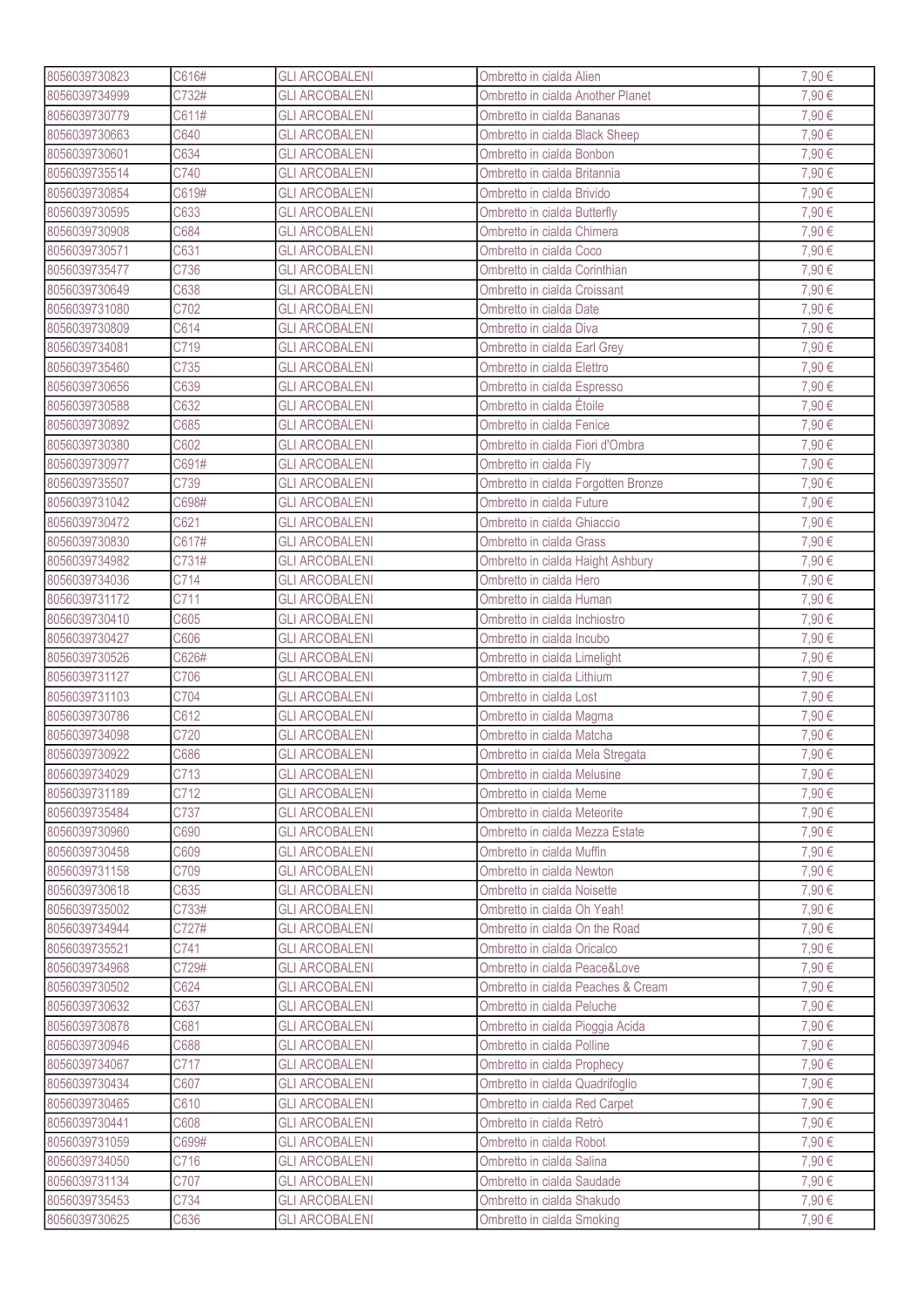| 8056039730823 | C616# | <b>GLI ARCOBALENI</b> | Ombretto in cialda Alien            | 7,90€ |
|---------------|-------|-----------------------|-------------------------------------|-------|
| 8056039734999 | C732# | <b>GLI ARCOBALENI</b> | Ombretto in cialda Another Planet   | 7,90€ |
| 8056039730779 | C611# | <b>GLI ARCOBALENI</b> | Ombretto in cialda Bananas          | 7,90€ |
| 8056039730663 | C640  | <b>GLI ARCOBALENI</b> | Ombretto in cialda Black Sheep      | 7,90€ |
| 8056039730601 | C634  | <b>GLI ARCOBALENI</b> | Ombretto in cialda Bonbon           | 7,90€ |
| 8056039735514 | C740  | <b>GLI ARCOBALENI</b> | Ombretto in cialda Britannia        | 7,90€ |
| 8056039730854 | C619# | <b>GLI ARCOBALENI</b> | Ombretto in cialda Brivido          | 7,90€ |
| 8056039730595 | C633  | <b>GLI ARCOBALENI</b> | Ombretto in cialda Butterfly        | 7,90€ |
| 8056039730908 | C684  | <b>GLI ARCOBALENI</b> | Ombretto in cialda Chimera          | 7,90€ |
| 8056039730571 | C631  | <b>GLI ARCOBALENI</b> | Ombretto in cialda Coco             | 7,90€ |
| 8056039735477 | C736  | <b>GLI ARCOBALENI</b> | Ombretto in cialda Corinthian       | 7,90€ |
| 8056039730649 | C638  | <b>GLI ARCOBALENI</b> | Ombretto in cialda Croissant        | 7,90€ |
| 8056039731080 | C702  | <b>GLI ARCOBALENI</b> | Ombretto in cialda Date             | 7,90€ |
| 8056039730809 | C614  | <b>GLI ARCOBALENI</b> | Ombretto in cialda Diva             | 7,90€ |
| 8056039734081 | C719  | <b>GLI ARCOBALENI</b> |                                     | 7,90€ |
|               |       |                       | Ombretto in cialda Earl Grey        |       |
| 8056039735460 | C735  | <b>GLI ARCOBALENI</b> | Ombretto in cialda Elettro          | 7,90€ |
| 8056039730656 | C639  | <b>GLI ARCOBALENI</b> | Ombretto in cialda Espresso         | 7,90€ |
| 8056039730588 | C632  | <b>GLI ARCOBALENI</b> | Ombretto in cialda Étoile           | 7,90€ |
| 8056039730892 | C685  | <b>GLI ARCOBALENI</b> | Ombretto in cialda Fenice           | 7,90€ |
| 8056039730380 | C602  | <b>GLI ARCOBALENI</b> | Ombretto in cialda Fiori d'Ombra    | 7,90€ |
| 8056039730977 | C691# | <b>GLI ARCOBALENI</b> | Ombretto in cialda Fly              | 7,90€ |
| 8056039735507 | C739  | <b>GLI ARCOBALENI</b> | Ombretto in cialda Forgotten Bronze | 7,90€ |
| 8056039731042 | C698# | <b>GLI ARCOBALENI</b> | Ombretto in cialda Future           | 7,90€ |
| 8056039730472 | C621  | <b>GLI ARCOBALENI</b> | Ombretto in cialda Ghiaccio         | 7,90€ |
| 8056039730830 | C617# | <b>GLI ARCOBALENI</b> | Ombretto in cialda Grass            | 7,90€ |
| 8056039734982 | C731# | <b>GLI ARCOBALENI</b> | Ombretto in cialda Haight Ashbury   | 7,90€ |
| 8056039734036 | C714  | <b>GLI ARCOBALENI</b> | Ombretto in cialda Hero             | 7,90€ |
| 8056039731172 | C711  | <b>GLI ARCOBALENI</b> | Ombretto in cialda Human            | 7,90€ |
| 8056039730410 | C605  | <b>GLI ARCOBALENI</b> | Ombretto in cialda Inchiostro       | 7,90€ |
| 8056039730427 | C606  | <b>GLI ARCOBALENI</b> | Ombretto in cialda Incubo           | 7,90€ |
| 8056039730526 | C626# | <b>GLI ARCOBALENI</b> | Ombretto in cialda Limelight        | 7,90€ |
| 8056039731127 | C706  | <b>GLI ARCOBALENI</b> | Ombretto in cialda Lithium          | 7,90€ |
| 8056039731103 | C704  | <b>GLI ARCOBALENI</b> | Ombretto in cialda Lost             | 7,90€ |
| 8056039730786 | C612  | <b>GLI ARCOBALENI</b> | Ombretto in cialda Magma            | 7,90€ |
| 8056039734098 | C720  | <b>GLI ARCOBALENI</b> | Ombretto in cialda Matcha           | 7,90€ |
| 8056039730922 | C686  | <b>GLI ARCOBALENI</b> | Ombretto in cialda Mela Stregata    | 7,90€ |
| 8056039734029 | C713  | <b>GLI ARCOBALENI</b> | Ombretto in cialda Melusine         | 7,90€ |
| 8056039731189 | C712  | <b>GLI ARCOBALENI</b> | Ombretto in cialda Meme             | 7,90€ |
| 8056039735484 | C737  | <b>GLI ARCOBALENI</b> | Ombretto in cialda Meteorite        | 7,90€ |
| 8056039730960 | C690  | <b>GLI ARCOBALENI</b> | Ombretto in cialda Mezza Estate     | 7,90€ |
| 8056039730458 | C609  | <b>GLI ARCOBALENI</b> | Ombretto in cialda Muffin           | 7,90€ |
| 8056039731158 | C709  | <b>GLI ARCOBALENI</b> | Ombretto in cialda Newton           | 7,90€ |
| 8056039730618 | C635  | <b>GLI ARCOBALENI</b> | Ombretto in cialda Noisette         | 7,90€ |
| 8056039735002 | C733# | <b>GLI ARCOBALENI</b> | Ombretto in cialda Oh Yeah!         | 7,90€ |
| 8056039734944 | C727# | <b>GLI ARCOBALENI</b> | Ombretto in cialda On the Road      | 7,90€ |
| 8056039735521 | C741  | <b>GLI ARCOBALENI</b> | Ombretto in cialda Oricalco         | 7,90€ |
| 8056039734968 | C729# | <b>GLI ARCOBALENI</b> | Ombretto in cialda Peace&Love       | 7,90€ |
| 8056039730502 | C624  | <b>GLI ARCOBALENI</b> | Ombretto in cialda Peaches & Cream  | 7,90€ |
| 8056039730632 | C637  | <b>GLI ARCOBALENI</b> | Ombretto in cialda Peluche          | 7,90€ |
| 8056039730878 | C681  | <b>GLI ARCOBALENI</b> | Ombretto in cialda Pioggia Acida    | 7,90€ |
| 8056039730946 | C688  | <b>GLI ARCOBALENI</b> | Ombretto in cialda Polline          | 7,90€ |
| 8056039734067 | C717  | <b>GLI ARCOBALENI</b> | Ombretto in cialda Prophecy         | 7,90€ |
| 8056039730434 | C607  | <b>GLI ARCOBALENI</b> | Ombretto in cialda Quadrifoglio     | 7,90€ |
| 8056039730465 | C610  | <b>GLI ARCOBALENI</b> | Ombretto in cialda Red Carpet       | 7,90€ |
|               |       |                       |                                     |       |
| 8056039730441 | C608  | <b>GLI ARCOBALENI</b> | Ombretto in cialda Retrò            | 7,90€ |
| 8056039731059 | C699# | <b>GLI ARCOBALENI</b> | Ombretto in cialda Robot            | 7,90€ |
| 8056039734050 | C716  | <b>GLI ARCOBALENI</b> | Ombretto in cialda Salina           | 7,90€ |
| 8056039731134 | C707  | <b>GLI ARCOBALENI</b> | Ombretto in cialda Saudade          | 7,90€ |
| 8056039735453 | C734  | <b>GLI ARCOBALENI</b> | Ombretto in cialda Shakudo          | 7,90€ |
| 8056039730625 | C636  | <b>GLI ARCOBALENI</b> | Ombretto in cialda Smoking          | 7,90€ |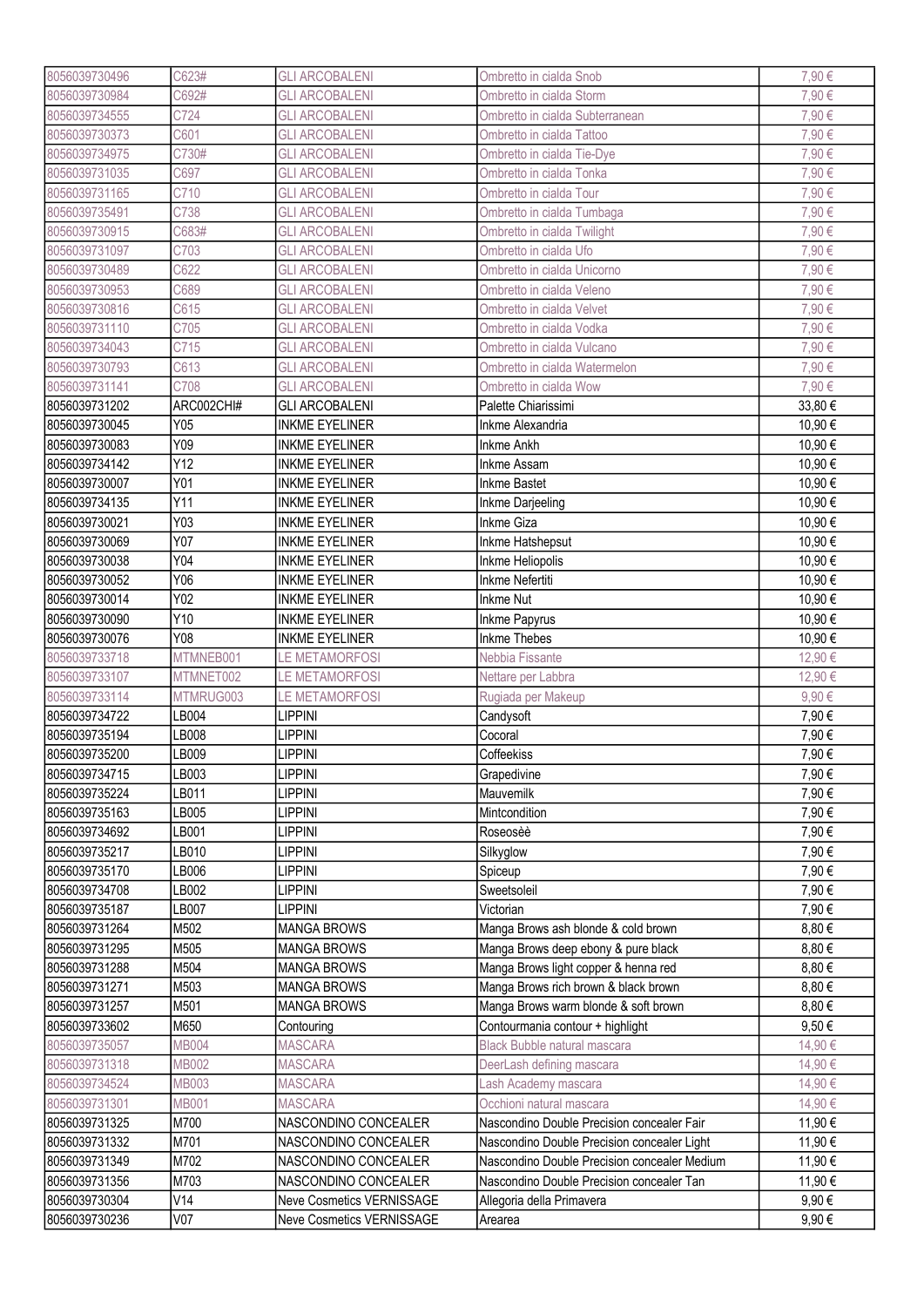| 8056039730496 | C623#           | <b>GLI ARCOBALENI</b>     | Ombretto in cialda Snob                                 | 7,90€   |
|---------------|-----------------|---------------------------|---------------------------------------------------------|---------|
| 8056039730984 | C692#           | <b>GLI ARCOBALENI</b>     | Ombretto in cialda Storm                                | 7,90€   |
| 8056039734555 | C724            | <b>GLI ARCOBALENI</b>     | Ombretto in cialda Subterranean                         | 7,90€   |
| 8056039730373 | C601            | <b>GLI ARCOBALENI</b>     | Ombretto in cialda Tattoo                               | 7,90€   |
| 8056039734975 | C730#           | <b>GLI ARCOBALENI</b>     | Ombretto in cialda Tie-Dye                              | 7,90€   |
| 8056039731035 | C697            | <b>GLI ARCOBALENI</b>     | Ombretto in cialda Tonka                                | 7,90€   |
| 8056039731165 | C710            | <b>GLI ARCOBALENI</b>     | Ombretto in cialda Tour                                 | 7,90€   |
| 8056039735491 | C738            | <b>GLI ARCOBALENI</b>     | Ombretto in cialda Tumbaga                              | 7,90€   |
| 8056039730915 | C683#           | <b>GLI ARCOBALENI</b>     | Ombretto in cialda Twilight                             | 7,90€   |
| 8056039731097 | C703            | <b>GLI ARCOBALENI</b>     | Ombretto in cialda Ufo                                  | 7,90€   |
| 8056039730489 | C622            | <b>GLI ARCOBALENI</b>     | Ombretto in cialda Unicorno                             | 7,90€   |
| 8056039730953 | C689            | <b>GLI ARCOBALENI</b>     | Ombretto in cialda Veleno                               | 7,90€   |
| 8056039730816 | C615            | <b>GLI ARCOBALENI</b>     | Ombretto in cialda Velvet                               | 7,90€   |
| 8056039731110 | C705            | <b>GLI ARCOBALENI</b>     | Ombretto in cialda Vodka                                | 7,90€   |
| 8056039734043 | C715            | <b>GLI ARCOBALENI</b>     | Ombretto in cialda Vulcano                              | 7,90€   |
| 8056039730793 | C613            | <b>GLI ARCOBALENI</b>     |                                                         | 7,90€   |
| 8056039731141 | C708            |                           | Ombretto in cialda Watermelon<br>Ombretto in cialda Wow | 7,90€   |
|               | ARC002CHI#      | <b>GLI ARCOBALENI</b>     |                                                         |         |
| 8056039731202 |                 | <b>GLI ARCOBALENI</b>     | Palette Chiarissimi                                     | 33,80€  |
| 8056039730045 | Y05             | <b>INKME EYELINER</b>     | Inkme Alexandria                                        | 10,90€  |
| 8056039730083 | Y09             | <b>INKME EYELINER</b>     | Inkme Ankh                                              | 10,90€  |
| 8056039734142 | Y12             | <b>INKME EYELINER</b>     | <b>Inkme Assam</b>                                      | 10,90 € |
| 8056039730007 | Y01             | <b>INKME EYELINER</b>     | <b>Inkme Bastet</b>                                     | 10,90€  |
| 8056039734135 | Y11             | <b>INKME EYELINER</b>     | Inkme Darjeeling                                        | 10,90€  |
| 8056039730021 | Y03             | <b>INKME EYELINER</b>     | <b>Inkme Giza</b>                                       | 10,90€  |
| 8056039730069 | Y07             | <b>INKME EYELINER</b>     | Inkme Hatshepsut                                        | 10,90€  |
| 8056039730038 | Y04             | <b>INKME EYELINER</b>     | Inkme Heliopolis                                        | 10,90€  |
| 8056039730052 | Y06             | <b>INKME EYELINER</b>     | Inkme Nefertiti                                         | 10,90€  |
| 8056039730014 | Y02             | <b>INKME EYELINER</b>     | <b>Inkme Nut</b>                                        | 10,90€  |
| 8056039730090 | Y10             | <b>INKME EYELINER</b>     | Inkme Papyrus                                           | 10,90€  |
| 8056039730076 | Y08             | <b>INKME EYELINER</b>     | <b>Inkme Thebes</b>                                     | 10,90€  |
| 8056039733718 | MTMNEB001       | <b>LE METAMORFOSI</b>     | Nebbia Fissante                                         | 12,90 € |
| 8056039733107 | MTMNET002       | LE METAMORFOSI            | Nettare per Labbra                                      | 12,90 € |
| 8056039733114 | MTMRUG003       | LE METAMORFOSI            | Rugiada per Makeup                                      | 9,90€   |
| 8056039734722 | LB004           | <b>LIPPINI</b>            | Candysoft                                               | 7,90€   |
| 8056039735194 | LB008           | <b>LIPPINI</b>            | Cocoral                                                 | 7,90€   |
| 8056039735200 | LB009           | <b>LIPPINI</b>            | Coffeekiss                                              | 7,90€   |
| 8056039734715 | LB003           | <b>LIPPINI</b>            | Grapedivine                                             | 7,90€   |
| 8056039735224 | LB011           | <b>LIPPINI</b>            | Mauvemilk                                               | 7,90€   |
| 8056039735163 | LB005           | <b>LIPPINI</b>            | Mintcondition                                           | 7,90€   |
| 8056039734692 | LB001           | <b>LIPPINI</b>            | Roseosèè                                                | 7,90€   |
| 8056039735217 | LB010           | <b>LIPPINI</b>            | Silkyglow                                               | 7,90€   |
| 8056039735170 | LB006           | <b>LIPPINI</b>            | Spiceup                                                 | 7,90€   |
| 8056039734708 | LB002           | <b>LIPPINI</b>            | Sweetsoleil                                             | 7,90€   |
| 8056039735187 | LB007           | <b>LIPPINI</b>            | Victorian                                               | 7,90€   |
| 8056039731264 | M502            | <b>MANGA BROWS</b>        | Manga Brows ash blonde & cold brown                     | 8,80€   |
| 8056039731295 | M505            | <b>MANGA BROWS</b>        | Manga Brows deep ebony & pure black                     | 8,80€   |
| 8056039731288 | M504            | <b>MANGA BROWS</b>        | Manga Brows light copper & henna red                    | 8,80€   |
| 8056039731271 | M503            | <b>MANGA BROWS</b>        | Manga Brows rich brown & black brown                    | 8,80€   |
| 8056039731257 | M501            | <b>MANGA BROWS</b>        | Manga Brows warm blonde & soft brown                    | 8,80€   |
| 8056039733602 | M650            | Contouring                | Contourmania contour + highlight                        | 9,50€   |
| 8056039735057 | <b>MB004</b>    | <b>MASCARA</b>            | Black Bubble natural mascara                            | 14,90€  |
| 8056039731318 | MB002           | <b>MASCARA</b>            | DeerLash defining mascara                               | 14,90 € |
| 8056039734524 | MB003           | <b>MASCARA</b>            | Lash Academy mascara                                    | 14,90 € |
| 8056039731301 | <b>MB001</b>    | <b>MASCARA</b>            | Occhioni natural mascara                                | 14,90€  |
| 8056039731325 | M700            | NASCONDINO CONCEALER      | Nascondino Double Precision concealer Fair              | 11,90 € |
| 8056039731332 | M701            | NASCONDINO CONCEALER      | Nascondino Double Precision concealer Light             | 11,90 € |
| 8056039731349 | M702            | NASCONDINO CONCEALER      | Nascondino Double Precision concealer Medium            | 11,90€  |
| 8056039731356 | M703            | NASCONDINO CONCEALER      | Nascondino Double Precision concealer Tan               | 11,90 € |
| 8056039730304 | V14             | Neve Cosmetics VERNISSAGE | Allegoria della Primavera                               | 9,90€   |
| 8056039730236 | V <sub>07</sub> | Neve Cosmetics VERNISSAGE | Arearea                                                 | 9,90€   |
|               |                 |                           |                                                         |         |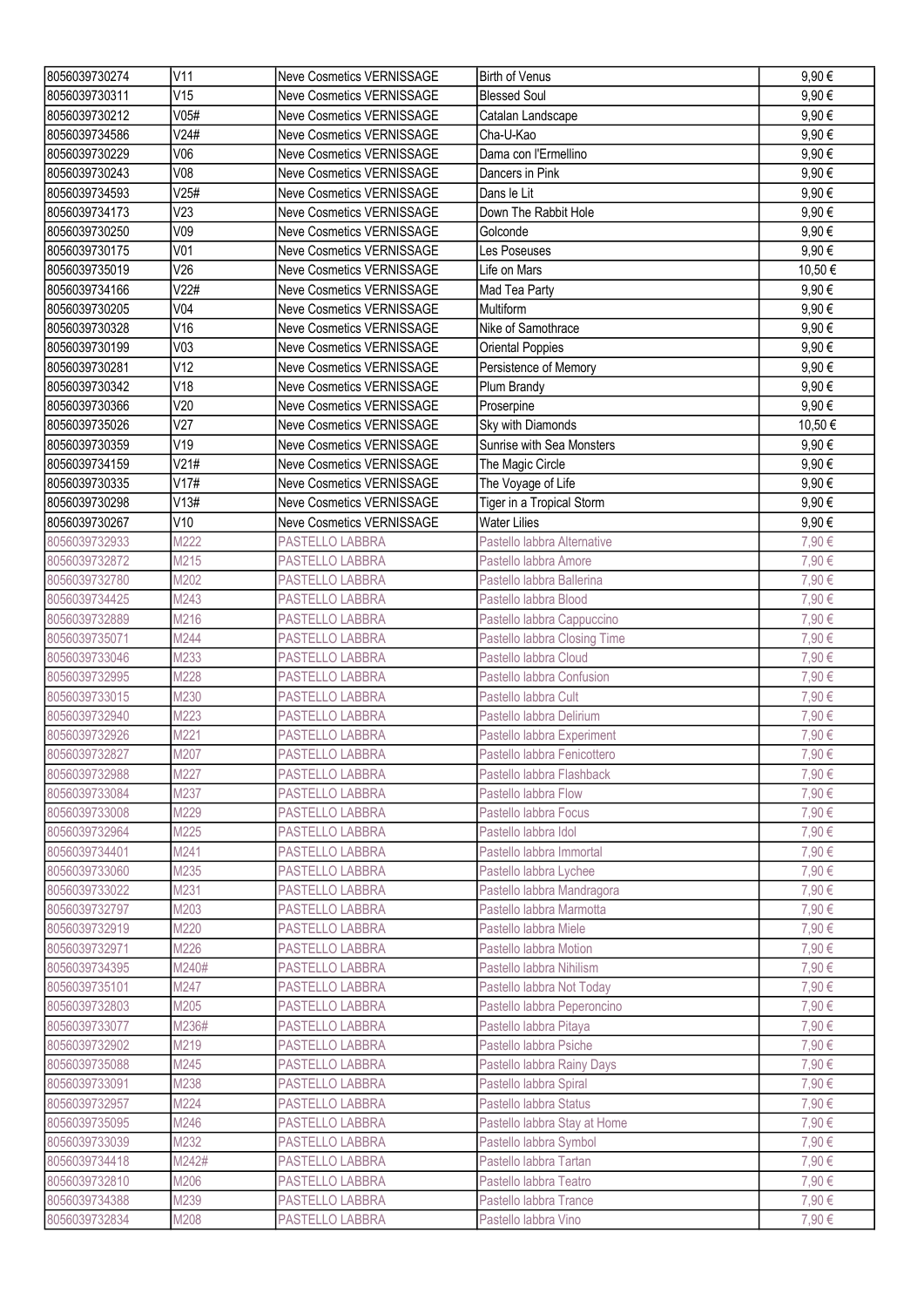| 8056039730274 | V11             | <b>Neve Cosmetics VERNISSAGE</b> | <b>Birth of Venus</b>        | 9,90€  |
|---------------|-----------------|----------------------------------|------------------------------|--------|
| 8056039730311 | V15             | <b>Neve Cosmetics VERNISSAGE</b> | <b>Blessed Soul</b>          | 9,90€  |
| 8056039730212 | V05#            | <b>Neve Cosmetics VERNISSAGE</b> | Catalan Landscape            | 9,90€  |
| 8056039734586 | V24#            | Neve Cosmetics VERNISSAGE        | Cha-U-Kao                    | 9,90€  |
| 8056039730229 | V06             | Neve Cosmetics VERNISSAGE        | Dama con l'Ermellino         | 9,90€  |
| 8056039730243 | V08             | <b>Neve Cosmetics VERNISSAGE</b> | Dancers in Pink              | 9,90€  |
| 8056039734593 | V25#            | Neve Cosmetics VERNISSAGE        | Dans le Lit                  | 9,90€  |
| 8056039734173 | V <sub>23</sub> | Neve Cosmetics VERNISSAGE        | Down The Rabbit Hole         | 9,90€  |
| 8056039730250 | V09             | <b>Neve Cosmetics VERNISSAGE</b> | Golconde                     | 9,90€  |
| 8056039730175 | V <sub>01</sub> | <b>Neve Cosmetics VERNISSAGE</b> | Les Poseuses                 | 9,90€  |
| 8056039735019 | V26             | <b>Neve Cosmetics VERNISSAGE</b> | Life on Mars                 | 10,50€ |
| 8056039734166 | V22#            | <b>Neve Cosmetics VERNISSAGE</b> | Mad Tea Party                | 9,90€  |
| 8056039730205 | V <sub>04</sub> | <b>Neve Cosmetics VERNISSAGE</b> | Multiform                    | 9,90€  |
| 8056039730328 | V16             | <b>Neve Cosmetics VERNISSAGE</b> | Nike of Samothrace           | 9,90€  |
|               | V <sub>03</sub> |                                  |                              |        |
| 8056039730199 |                 | Neve Cosmetics VERNISSAGE        | Oriental Poppies             | 9,90€  |
| 8056039730281 | V12             | Neve Cosmetics VERNISSAGE        | Persistence of Memory        | 9,90€  |
| 8056039730342 | V18             | <b>Neve Cosmetics VERNISSAGE</b> | Plum Brandy                  | 9,90€  |
| 8056039730366 | V20             | Neve Cosmetics VERNISSAGE        | Proserpine                   | 9,90€  |
| 8056039735026 | V27             | Neve Cosmetics VERNISSAGE        | Sky with Diamonds            | 10,50€ |
| 8056039730359 | V19             | Neve Cosmetics VERNISSAGE        | Sunrise with Sea Monsters    | 9,90€  |
| 8056039734159 | V21#            | <b>Neve Cosmetics VERNISSAGE</b> | The Magic Circle             | 9,90€  |
| 8056039730335 | V17#            | <b>Neve Cosmetics VERNISSAGE</b> | The Voyage of Life           | 9,90€  |
| 8056039730298 | V13#            | <b>Neve Cosmetics VERNISSAGE</b> | Tiger in a Tropical Storm    | 9,90€  |
| 8056039730267 | V10             | <b>Neve Cosmetics VERNISSAGE</b> | <b>Water Lilies</b>          | 9,90€  |
| 8056039732933 | M222            | PASTELLO LABBRA                  | Pastello labbra Alternative  | 7,90€  |
| 8056039732872 | M215            | PASTELLO LABBRA                  | Pastello labbra Amore        | 7,90€  |
| 8056039732780 | M202            | PASTELLO LABBRA                  | Pastello labbra Ballerina    | 7,90€  |
| 8056039734425 | M243            | PASTELLO LABBRA                  | Pastello labbra Blood        | 7,90€  |
| 8056039732889 | M216            | PASTELLO LABBRA                  | Pastello labbra Cappuccino   | 7,90€  |
| 8056039735071 | M244            | PASTELLO LABBRA                  | Pastello labbra Closing Time | 7,90€  |
| 8056039733046 | M233            | PASTELLO LABBRA                  | Pastello labbra Cloud        | 7,90€  |
| 8056039732995 | M228            | PASTELLO LABBRA                  | Pastello labbra Confusion    | 7,90€  |
| 8056039733015 | M230            | PASTELLO LABBRA                  | Pastello labbra Cult         | 7,90€  |
| 8056039732940 | M223            | PASTELLO LABBRA                  | Pastello labbra Delirium     | 7,90€  |
| 8056039732926 | M221            | PASTELLO LABBRA                  | Pastello labbra Experiment   | 7,90€  |
| 8056039732827 | M207            | <b>PASTELLO LABBRA</b>           | Pastello labbra Fenicottero  | 7,90€  |
| 8056039732988 | M227            | PASTELLO LABBRA                  | Pastello labbra Flashback    | 7,90€  |
| 8056039733084 | M237            | PASTELLO LABBRA                  | Pastello labbra Flow         | 7,90€  |
| 8056039733008 | M229            | PASTELLO LABBRA                  | Pastello labbra Focus        | 7,90€  |
| 8056039732964 | M225            | PASTELLO LABBRA                  | Pastello labbra Idol         | 7,90€  |
| 8056039734401 | M241            | PASTELLO LABBRA                  | Pastello labbra Immortal     | 7,90€  |
| 8056039733060 | M235            | <b>PASTELLO LABBRA</b>           | Pastello labbra Lychee       | 7,90€  |
| 8056039733022 | M231            | PASTELLO LABBRA                  | Pastello labbra Mandragora   | 7,90€  |
| 8056039732797 | M203            | PASTELLO LABBRA                  | Pastello labbra Marmotta     | 7,90€  |
| 8056039732919 | M220            | PASTELLO LABBRA                  | Pastello labbra Miele        | 7,90€  |
| 8056039732971 | M226            | PASTELLO LABBRA                  | Pastello labbra Motion       | 7,90€  |
| 8056039734395 | M240#           | PASTELLO LABBRA                  | Pastello labbra Nihilism     | 7,90€  |
| 8056039735101 | M247            | PASTELLO LABBRA                  | Pastello labbra Not Today    | 7,90€  |
| 8056039732803 | M205            | PASTELLO LABBRA                  | Pastello labbra Peperoncino  | 7,90€  |
| 8056039733077 | M236#           | PASTELLO LABBRA                  | Pastello labbra Pitaya       | 7,90€  |
|               |                 |                                  |                              |        |
| 8056039732902 | M219            | PASTELLO LABBRA                  | Pastello labbra Psiche       | 7,90€  |
| 8056039735088 | M245            | PASTELLO LABBRA                  | Pastello labbra Rainy Days   | 7,90€  |
| 8056039733091 | M238            | PASTELLO LABBRA                  | Pastello labbra Spiral       | 7,90€  |
| 8056039732957 | M224            | PASTELLO LABBRA                  | Pastello labbra Status       | 7,90€  |
| 8056039735095 | M246            | PASTELLO LABBRA                  | Pastello labbra Stay at Home | 7,90€  |
| 8056039733039 | M232            | PASTELLO LABBRA                  | Pastello labbra Symbol       | 7,90€  |
| 8056039734418 | M242#           | PASTELLO LABBRA                  | Pastello labbra Tartan       | 7,90€  |
| 8056039732810 | M206            | PASTELLO LABBRA                  | Pastello labbra Teatro       | 7,90€  |
| 8056039734388 | M239            | PASTELLO LABBRA                  | Pastello labbra Trance       | 7,90€  |
| 8056039732834 | M208            | PASTELLO LABBRA                  | Pastello labbra Vino         | 7,90€  |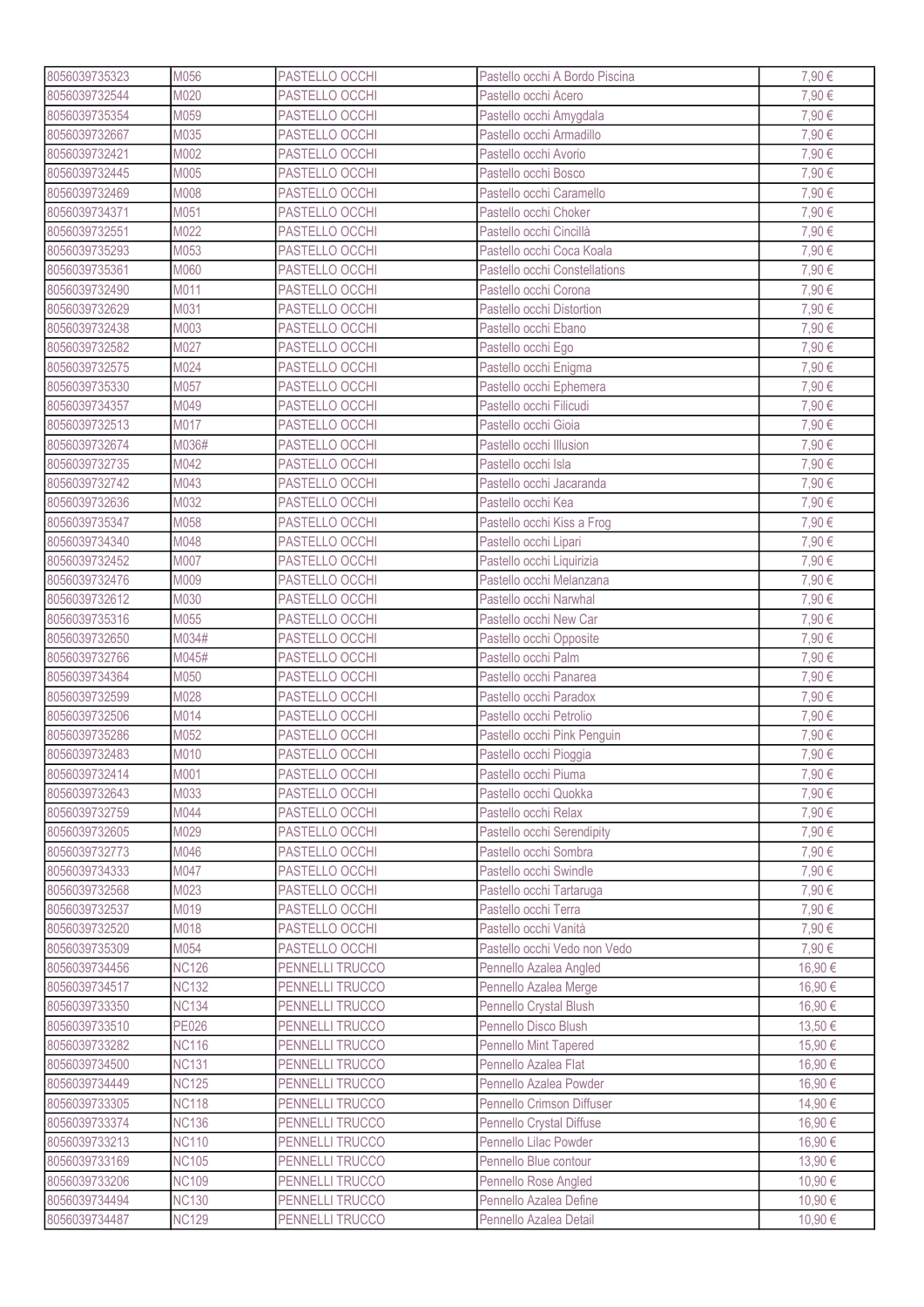| 8056039735323                  | M056                         | PASTELLO OCCHI                     | Pastello occhi A Bordo Piscina                       | 7,90€   |
|--------------------------------|------------------------------|------------------------------------|------------------------------------------------------|---------|
| 8056039732544                  | M020                         | PASTELLO OCCHI                     | Pastello occhi Acero                                 | 7,90€   |
| 8056039735354                  | M059                         | PASTELLO OCCHI                     | Pastello occhi Amygdala                              | 7,90€   |
| 8056039732667                  | M035                         | PASTELLO OCCHI                     | Pastello occhi Armadillo                             | 7,90€   |
| 8056039732421                  | M002                         | PASTELLO OCCHI                     | Pastello occhi Avorio                                | 7,90€   |
| 8056039732445                  | M005                         | PASTELLO OCCHI                     | Pastello occhi Bosco                                 | 7,90€   |
| 8056039732469                  | M008                         | PASTELLO OCCHI                     | Pastello occhi Caramello                             | 7,90€   |
| 8056039734371                  | M051                         | PASTELLO OCCHI                     | Pastello occhi Choker                                | 7,90€   |
| 8056039732551                  | M022                         | PASTELLO OCCHI                     | Pastello occhi Cincillà                              | 7,90€   |
| 8056039735293                  | M053                         | PASTELLO OCCHI                     | Pastello occhi Coca Koala                            | 7,90€   |
| 8056039735361                  | M060                         | PASTELLO OCCHI                     | Pastello occhi Constellations                        | 7,90€   |
| 8056039732490                  | M011                         | PASTELLO OCCHI                     | Pastello occhi Corona                                | 7,90€   |
| 8056039732629                  | M031                         | PASTELLO OCCHI                     | Pastello occhi Distortion                            | 7,90€   |
| 8056039732438                  | M003                         | PASTELLO OCCHI                     | Pastello occhi Ebano                                 | 7,90€   |
| 8056039732582                  | M027                         |                                    |                                                      | 7,90€   |
|                                |                              | PASTELLO OCCHI                     | Pastello occhi Ego                                   |         |
| 8056039732575                  | M024                         | PASTELLO OCCHI                     | Pastello occhi Enigma                                | 7,90€   |
| 8056039735330                  | M057                         | PASTELLO OCCHI                     | Pastello occhi Ephemera                              | 7,90€   |
| 8056039734357                  | M049                         | PASTELLO OCCHI                     | Pastello occhi Filicudi                              | 7,90€   |
| 8056039732513                  | M017                         | PASTELLO OCCHI                     | Pastello occhi Gioia                                 | 7,90€   |
| 8056039732674                  | M036#                        | PASTELLO OCCHI                     | Pastello occhi Illusion                              | 7,90€   |
| 8056039732735                  | M042                         | PASTELLO OCCHI                     | Pastello occhi Isla                                  | 7,90€   |
| 8056039732742                  | M043                         | PASTELLO OCCHI                     | Pastello occhi Jacaranda                             | 7,90€   |
| 8056039732636                  | M032                         | PASTELLO OCCHI                     | Pastello occhi Kea                                   | 7,90€   |
| 8056039735347                  | M058                         | PASTELLO OCCHI                     | Pastello occhi Kiss a Frog                           | 7,90€   |
| 8056039734340                  | M048                         | PASTELLO OCCHI                     | Pastello occhi Lipari                                | 7,90€   |
| 8056039732452                  | M007                         | PASTELLO OCCHI                     | Pastello occhi Liquirizia                            | 7,90€   |
| 8056039732476                  | M009                         | PASTELLO OCCHI                     | Pastello occhi Melanzana                             | 7,90 €  |
| 8056039732612                  | M030                         | PASTELLO OCCHI                     | Pastello occhi Narwhal                               | 7,90€   |
| 8056039735316                  | M055                         | PASTELLO OCCHI                     | Pastello occhi New Car                               | 7,90€   |
| 8056039732650                  | M034#                        | PASTELLO OCCHI                     | Pastello occhi Opposite                              | 7,90€   |
| 8056039732766                  | M045#                        | PASTELLO OCCHI                     | Pastello occhi Palm                                  | 7,90€   |
| 8056039734364                  | M050                         | PASTELLO OCCHI                     | Pastello occhi Panarea                               | 7,90€   |
| 8056039732599                  | M028                         | PASTELLO OCCHI                     | Pastello occhi Paradox                               | 7,90€   |
| 8056039732506                  | M014                         | PASTELLO OCCHI                     | Pastello occhi Petrolio                              | 7,90€   |
| 8056039735286                  | M052                         | PASTELLO OCCHI                     | Pastello occhi Pink Penguin                          | 7,90€   |
| 8056039732483                  | M010                         | <b>PASTELLO OCCHI</b>              | Pastello occhi Pioggia                               | 7,90€   |
| 8056039732414                  | M001                         | PASTELLO OCCHI                     | Pastello occhi Piuma                                 | 7,90€   |
| 8056039732643                  | M033                         | PASTELLO OCCHI                     | Pastello occhi Quokka                                | 7,90€   |
| 8056039732759                  | M044                         | PASTELLO OCCHI                     | Pastello occhi Relax                                 | 7,90€   |
| 8056039732605                  | M029                         | PASTELLO OCCHI                     | Pastello occhi Serendipity                           | 7,90€   |
| 8056039732773                  | M046                         | PASTELLO OCCHI                     | Pastello occhi Sombra                                | 7,90€   |
| 8056039734333                  | M047                         | PASTELLO OCCHI                     | Pastello occhi Swindle                               | 7,90€   |
| 8056039732568                  | M023                         | PASTELLO OCCHI                     | Pastello occhi Tartaruga                             | 7,90€   |
| 8056039732537                  | M019                         | PASTELLO OCCHI                     | Pastello occhi Terra                                 | 7,90€   |
| 8056039732520                  | M018                         | PASTELLO OCCHI                     | Pastello occhi Vanità                                | 7,90€   |
| 8056039735309                  | M054                         | PASTELLO OCCHI                     | Pastello occhi Vedo non Vedo                         | 7,90€   |
| 8056039734456                  | <b>NC126</b>                 | PENNELLI TRUCCO                    | Pennello Azalea Angled                               | 16,90€  |
| 8056039734517                  | <b>NC132</b>                 | PENNELLI TRUCCO                    | Pennello Azalea Merge                                | 16,90€  |
| 8056039733350                  | <b>NC134</b>                 | PENNELLI TRUCCO                    | Pennello Crystal Blush                               | 16,90 € |
| 8056039733510                  | <b>PE026</b>                 | PENNELLI TRUCCO                    | Pennello Disco Blush                                 | 13,50 € |
|                                |                              |                                    |                                                      | 15,90 € |
| 8056039733282<br>8056039734500 | <b>NC116</b><br><b>NC131</b> | PENNELLI TRUCCO<br>PENNELLI TRUCCO | <b>Pennello Mint Tapered</b><br>Pennello Azalea Flat | 16,90€  |
|                                |                              |                                    |                                                      |         |
| 8056039734449                  | <b>NC125</b>                 | PENNELLI TRUCCO                    | Pennello Azalea Powder                               | 16,90 € |
| 8056039733305                  | <b>NC118</b>                 | PENNELLI TRUCCO                    | Pennello Crimson Diffuser                            | 14,90€  |
| 8056039733374                  | <b>NC136</b>                 | PENNELLI TRUCCO                    | Pennello Crystal Diffuse                             | 16,90€  |
| 8056039733213                  | <b>NC110</b>                 | PENNELLI TRUCCO                    | Pennello Lilac Powder                                | 16,90€  |
| 8056039733169                  | <b>NC105</b>                 | PENNELLI TRUCCO                    | Pennello Blue contour                                | 13,90 € |
| 8056039733206                  | <b>NC109</b>                 | PENNELLI TRUCCO                    | Pennello Rose Angled                                 | 10,90€  |
| 8056039734494                  | <b>NC130</b>                 | PENNELLI TRUCCO                    | Pennello Azalea Define                               | 10,90 € |
| 8056039734487                  | <b>NC129</b>                 | PENNELLI TRUCCO                    | Pennello Azalea Detail                               | 10,90€  |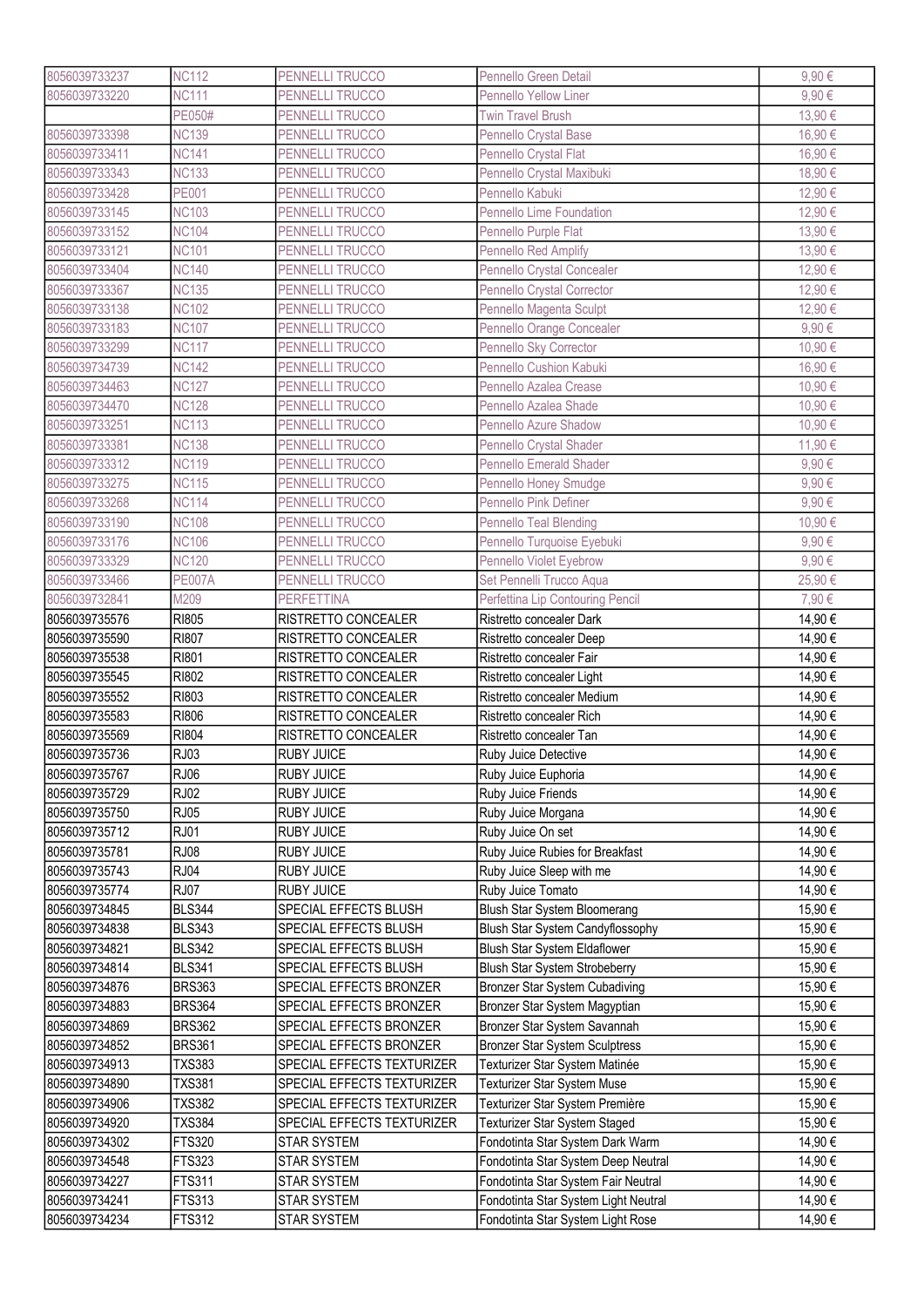| 8056039733237                  | <b>NC112</b>                 | PENNELLI TRUCCO            | Pennello Green Detail                                   | 9,90€   |
|--------------------------------|------------------------------|----------------------------|---------------------------------------------------------|---------|
| 8056039733220                  | <b>NC111</b>                 | PENNELLI TRUCCO            | <b>Pennello Yellow Liner</b>                            | 9,90€   |
|                                | PE050#                       | PENNELLI TRUCCO            | <b>Twin Travel Brush</b>                                | 13,90€  |
| 8056039733398                  | <b>NC139</b>                 | PENNELLI TRUCCO            | Pennello Crystal Base                                   | 16,90€  |
| 8056039733411                  | <b>NC141</b>                 | PENNELLI TRUCCO            | Pennello Crystal Flat                                   | 16,90€  |
| 8056039733343                  | <b>NC133</b>                 | PENNELLI TRUCCO            | Pennello Crystal Maxibuki                               | 18,90€  |
| 8056039733428                  | <b>PE001</b>                 | PENNELLI TRUCCO            | Pennello Kabuki                                         | 12,90 € |
| 8056039733145                  | <b>NC103</b>                 | PENNELLI TRUCCO            | Pennello Lime Foundation                                | 12,90 € |
| 8056039733152                  | <b>NC104</b>                 | PENNELLI TRUCCO            | Pennello Purple Flat                                    | 13,90 € |
| 8056039733121                  | <b>NC101</b>                 | PENNELLI TRUCCO            | Pennello Red Amplify                                    | 13,90€  |
| 8056039733404                  | <b>NC140</b>                 | <b>PENNELLI TRUCCO</b>     | Pennello Crystal Concealer                              | 12,90€  |
| 8056039733367                  | <b>NC135</b>                 | PENNELLI TRUCCO            | Pennello Crystal Corrector                              | 12,90 € |
| 8056039733138                  | <b>NC102</b>                 | PENNELLI TRUCCO            | Pennello Magenta Sculpt                                 | 12,90€  |
|                                |                              |                            |                                                         |         |
| 8056039733183                  | <b>NC107</b><br><b>NC117</b> | PENNELLI TRUCCO            | Pennello Orange Concealer                               | 9,90€   |
| 8056039733299                  |                              | PENNELLI TRUCCO            | Pennello Sky Corrector                                  | 10,90€  |
| 8056039734739                  | <b>NC142</b>                 | PENNELLI TRUCCO            | Pennello Cushion Kabuki                                 | 16,90€  |
| 8056039734463                  | <b>NC127</b>                 | PENNELLI TRUCCO            | Pennello Azalea Crease                                  | 10,90€  |
| 8056039734470                  | <b>NC128</b>                 | PENNELLI TRUCCO            | Pennello Azalea Shade                                   | 10,90€  |
| 8056039733251                  | <b>NC113</b>                 | PENNELLI TRUCCO            | Pennello Azure Shadow                                   | 10,90 € |
| 8056039733381                  | <b>NC138</b>                 | PENNELLI TRUCCO            | Pennello Crystal Shader                                 | 11,90 € |
| 8056039733312                  | <b>NC119</b>                 | PENNELLI TRUCCO            | <b>Pennello Emerald Shader</b>                          | 9,90€   |
| 8056039733275                  | <b>NC115</b>                 | PENNELLI TRUCCO            | Pennello Honey Smudge                                   | 9,90€   |
| 8056039733268                  | <b>NC114</b>                 | PENNELLI TRUCCO            | Pennello Pink Definer                                   | 9,90€   |
| 8056039733190                  | <b>NC108</b>                 | PENNELLI TRUCCO            | Pennello Teal Blending                                  | 10,90€  |
| 8056039733176                  | <b>NC106</b>                 | PENNELLI TRUCCO            | Pennello Turquoise Eyebuki                              | 9,90€   |
| 8056039733329                  | <b>NC120</b>                 | PENNELLI TRUCCO            | Pennello Violet Eyebrow                                 | 9,90€   |
| 8056039733466                  | <b>PE007A</b>                | PENNELLI TRUCCO            | Set Pennelli Trucco Aqua                                | 25,90€  |
| 8056039732841                  | M209                         | <b>PERFETTINA</b>          | Perfettina Lip Contouring Pencil                        | 7,90€   |
| 8056039735576                  | <b>RI805</b>                 | RISTRETTO CONCEALER        | Ristretto concealer Dark                                | 14,90€  |
| 8056039735590                  | <b>RI807</b>                 | RISTRETTO CONCEALER        | Ristretto concealer Deep                                | 14,90 € |
|                                |                              |                            |                                                         |         |
| 8056039735538                  | RI801                        | RISTRETTO CONCEALER        | Ristretto concealer Fair                                | 14,90 € |
| 8056039735545                  | RI802                        | RISTRETTO CONCEALER        |                                                         | 14,90 € |
| 8056039735552                  | RI803                        |                            | Ristretto concealer Light<br>Ristretto concealer Medium |         |
|                                |                              | RISTRETTO CONCEALER        | Ristretto concealer Rich                                | 14,90€  |
| 8056039735583                  | <b>RI806</b>                 | RISTRETTO CONCEALER        | Ristretto concealer Tan                                 | 14,90€  |
| 8056039735569                  | <b>RI804</b>                 | RISTRETTO CONCEALER        |                                                         | 14,90€  |
| 8056039735736                  | <b>RJ03</b>                  | <b>RUBY JUICE</b>          | Ruby Juice Detective                                    | 14,90€  |
| 8056039735767                  | RJ06                         | <b>RUBY JUICE</b>          | Ruby Juice Euphoria                                     | 14,90€  |
| 8056039735729                  | <b>RJ02</b>                  | RUBY JUICE                 | Ruby Juice Friends                                      | 14,90 € |
| 8056039735750                  | RJ05                         | <b>RUBY JUICE</b>          | Ruby Juice Morgana                                      | 14,90 € |
| 8056039735712                  | <b>RJ01</b>                  | <b>RUBY JUICE</b>          | Ruby Juice On set                                       | 14,90 € |
| 8056039735781                  | <b>RJ08</b>                  | <b>RUBY JUICE</b>          | Ruby Juice Rubies for Breakfast                         | 14,90 € |
| 8056039735743                  | <b>RJ04</b>                  | <b>RUBY JUICE</b>          | Ruby Juice Sleep with me                                | 14,90 € |
| 8056039735774                  | <b>RJ07</b>                  | <b>RUBY JUICE</b>          | Ruby Juice Tomato                                       | 14,90 € |
| 8056039734845                  | <b>BLS344</b>                | SPECIAL EFFECTS BLUSH      | Blush Star System Bloomerang                            | 15,90€  |
| 8056039734838                  | <b>BLS343</b>                | SPECIAL EFFECTS BLUSH      | Blush Star System Candyflossophy                        | 15,90€  |
| 8056039734821                  | <b>BLS342</b>                | SPECIAL EFFECTS BLUSH      | Blush Star System Eldaflower                            | 15,90 € |
| 8056039734814                  | <b>BLS341</b>                | SPECIAL EFFECTS BLUSH      | Blush Star System Strobeberry                           | 15,90€  |
| 8056039734876                  | <b>BRS363</b>                | SPECIAL EFFECTS BRONZER    | Bronzer Star System Cubadiving                          | 15,90€  |
| 8056039734883                  | <b>BRS364</b>                | SPECIAL EFFECTS BRONZER    | Bronzer Star System Magyptian                           | 15,90€  |
| 8056039734869                  | <b>BRS362</b>                | SPECIAL EFFECTS BRONZER    | Bronzer Star System Savannah                            | 15,90€  |
| 8056039734852                  | <b>BRS361</b>                | SPECIAL EFFECTS BRONZER    | <b>Bronzer Star System Sculptress</b>                   | 15,90€  |
| 8056039734913                  | <b>TXS383</b>                | SPECIAL EFFECTS TEXTURIZER | Texturizer Star System Matinée                          | 15,90 € |
| 8056039734890                  | <b>TXS381</b>                | SPECIAL EFFECTS TEXTURIZER | Texturizer Star System Muse                             | 15,90€  |
| 8056039734906                  | <b>TXS382</b>                | SPECIAL EFFECTS TEXTURIZER | Texturizer Star System Première                         | 15,90€  |
| 8056039734920                  | <b>TXS384</b>                | SPECIAL EFFECTS TEXTURIZER | Texturizer Star System Staged                           | 15,90 € |
| 8056039734302                  | FTS320                       | <b>STAR SYSTEM</b>         | Fondotinta Star System Dark Warm                        | 14,90 € |
| 8056039734548                  | FTS323                       | <b>STAR SYSTEM</b>         | Fondotinta Star System Deep Neutral                     | 14,90 € |
| 8056039734227                  | FTS311                       | <b>STAR SYSTEM</b>         | Fondotinta Star System Fair Neutral                     | 14,90€  |
| 8056039734241<br>8056039734234 | FTS313                       | <b>STAR SYSTEM</b>         | Fondotinta Star System Light Neutral                    | 14,90 € |